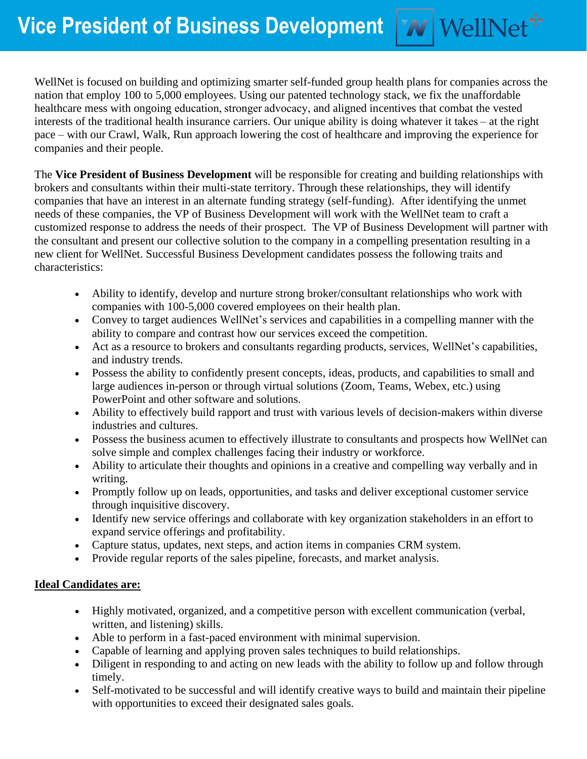WellNet is focused on building and optimizing smarter self-funded group health plans for companies across the nation that employ 100 to 5,000 employees. Using our patented technology stack, we fix the unaffordable healthcare mess with ongoing education, stronger advocacy, and aligned incentives that combat the vested interests of the traditional health insurance carriers. Our unique ability is doing whatever it takes – at the right pace – with our Crawl, Walk, Run approach lowering the cost of healthcare and improving the experience for companies and their people.

**W** WellNet<sup>+</sup>

The **Vice President of Business Development** will be responsible for creating and building relationships with brokers and consultants within their multi-state territory. Through these relationships, they will identify companies that have an interest in an alternate funding strategy (self-funding). After identifying the unmet needs of these companies, the VP of Business Development will work with the WellNet team to craft a customized response to address the needs of their prospect. The VP of Business Development will partner with the consultant and present our collective solution to the company in a compelling presentation resulting in a new client for WellNet. Successful Business Development candidates possess the following traits and characteristics:

- Ability to identify, develop and nurture strong broker/consultant relationships who work with companies with 100-5,000 covered employees on their health plan.
- Convey to target audiences WellNet's services and capabilities in a compelling manner with the ability to compare and contrast how our services exceed the competition.
- Act as a resource to brokers and consultants regarding products, services, WellNet's capabilities, and industry trends.
- Possess the ability to confidently present concepts, ideas, products, and capabilities to small and large audiences in-person or through virtual solutions (Zoom, Teams, Webex, etc.) using PowerPoint and other software and solutions.
- Ability to effectively build rapport and trust with various levels of decision-makers within diverse industries and cultures.
- Possess the business acumen to effectively illustrate to consultants and prospects how WellNet can solve simple and complex challenges facing their industry or workforce.
- Ability to articulate their thoughts and opinions in a creative and compelling way verbally and in writing.
- Promptly follow up on leads, opportunities, and tasks and deliver exceptional customer service through inquisitive discovery.
- Identify new service offerings and collaborate with key organization stakeholders in an effort to expand service offerings and profitability.
- Capture status, updates, next steps, and action items in companies CRM system.
- Provide regular reports of the sales pipeline, forecasts, and market analysis.

## **Ideal Candidates are:**

- Highly motivated, organized, and a competitive person with excellent communication (verbal, written, and listening) skills.
- Able to perform in a fast-paced environment with minimal supervision.
- Capable of learning and applying proven sales techniques to build relationships.
- Diligent in responding to and acting on new leads with the ability to follow up and follow through timely.
- Self-motivated to be successful and will identify creative ways to build and maintain their pipeline with opportunities to exceed their designated sales goals.